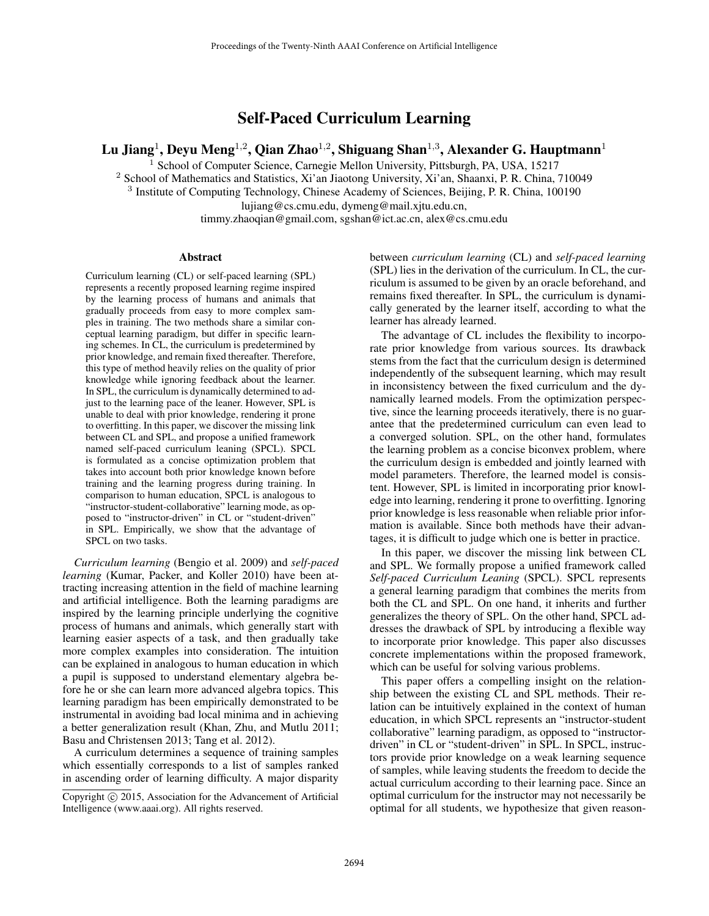# Self-Paced Curriculum Learning

Lu Jiang $^1$ , Deyu Meng $^{1,2}$ , Qian Zhao $^{1,2}$ , Shiguang Shan $^{1,3}$ , Alexander G. Hauptmann $^1$ 

<sup>1</sup> School of Computer Science, Carnegie Mellon University, Pittsburgh, PA, USA, 15217

<sup>2</sup> School of Mathematics and Statistics, Xi'an Jiaotong University, Xi'an, Shaanxi, P. R. China, 710049

<sup>3</sup> Institute of Computing Technology, Chinese Academy of Sciences, Beijing, P. R. China, 100190

lujiang@cs.cmu.edu, dymeng@mail.xjtu.edu.cn,

timmy.zhaoqian@gmail.com, sgshan@ict.ac.cn, alex@cs.cmu.edu

#### Abstract

Curriculum learning (CL) or self-paced learning (SPL) represents a recently proposed learning regime inspired by the learning process of humans and animals that gradually proceeds from easy to more complex samples in training. The two methods share a similar conceptual learning paradigm, but differ in specific learning schemes. In CL, the curriculum is predetermined by prior knowledge, and remain fixed thereafter. Therefore, this type of method heavily relies on the quality of prior knowledge while ignoring feedback about the learner. In SPL, the curriculum is dynamically determined to adjust to the learning pace of the leaner. However, SPL is unable to deal with prior knowledge, rendering it prone to overfitting. In this paper, we discover the missing link between CL and SPL, and propose a unified framework named self-paced curriculum leaning (SPCL). SPCL is formulated as a concise optimization problem that takes into account both prior knowledge known before training and the learning progress during training. In comparison to human education, SPCL is analogous to "instructor-student-collaborative" learning mode, as opposed to "instructor-driven" in CL or "student-driven" in SPL. Empirically, we show that the advantage of SPCL on two tasks.

*Curriculum learning* (Bengio et al. 2009) and *self-paced learning* (Kumar, Packer, and Koller 2010) have been attracting increasing attention in the field of machine learning and artificial intelligence. Both the learning paradigms are inspired by the learning principle underlying the cognitive process of humans and animals, which generally start with learning easier aspects of a task, and then gradually take more complex examples into consideration. The intuition can be explained in analogous to human education in which a pupil is supposed to understand elementary algebra before he or she can learn more advanced algebra topics. This learning paradigm has been empirically demonstrated to be instrumental in avoiding bad local minima and in achieving a better generalization result (Khan, Zhu, and Mutlu 2011; Basu and Christensen 2013; Tang et al. 2012).

A curriculum determines a sequence of training samples which essentially corresponds to a list of samples ranked in ascending order of learning difficulty. A major disparity between *curriculum learning* (CL) and *self-paced learning* (SPL) lies in the derivation of the curriculum. In CL, the curriculum is assumed to be given by an oracle beforehand, and remains fixed thereafter. In SPL, the curriculum is dynamically generated by the learner itself, according to what the learner has already learned.

The advantage of CL includes the flexibility to incorporate prior knowledge from various sources. Its drawback stems from the fact that the curriculum design is determined independently of the subsequent learning, which may result in inconsistency between the fixed curriculum and the dynamically learned models. From the optimization perspective, since the learning proceeds iteratively, there is no guarantee that the predetermined curriculum can even lead to a converged solution. SPL, on the other hand, formulates the learning problem as a concise biconvex problem, where the curriculum design is embedded and jointly learned with model parameters. Therefore, the learned model is consistent. However, SPL is limited in incorporating prior knowledge into learning, rendering it prone to overfitting. Ignoring prior knowledge is less reasonable when reliable prior information is available. Since both methods have their advantages, it is difficult to judge which one is better in practice.

In this paper, we discover the missing link between CL and SPL. We formally propose a unified framework called *Self-paced Curriculum Leaning* (SPCL). SPCL represents a general learning paradigm that combines the merits from both the CL and SPL. On one hand, it inherits and further generalizes the theory of SPL. On the other hand, SPCL addresses the drawback of SPL by introducing a flexible way to incorporate prior knowledge. This paper also discusses concrete implementations within the proposed framework, which can be useful for solving various problems.

This paper offers a compelling insight on the relationship between the existing CL and SPL methods. Their relation can be intuitively explained in the context of human education, in which SPCL represents an "instructor-student collaborative" learning paradigm, as opposed to "instructordriven" in CL or "student-driven" in SPL. In SPCL, instructors provide prior knowledge on a weak learning sequence of samples, while leaving students the freedom to decide the actual curriculum according to their learning pace. Since an optimal curriculum for the instructor may not necessarily be optimal for all students, we hypothesize that given reason-

Copyright © 2015, Association for the Advancement of Artificial Intelligence (www.aaai.org). All rights reserved.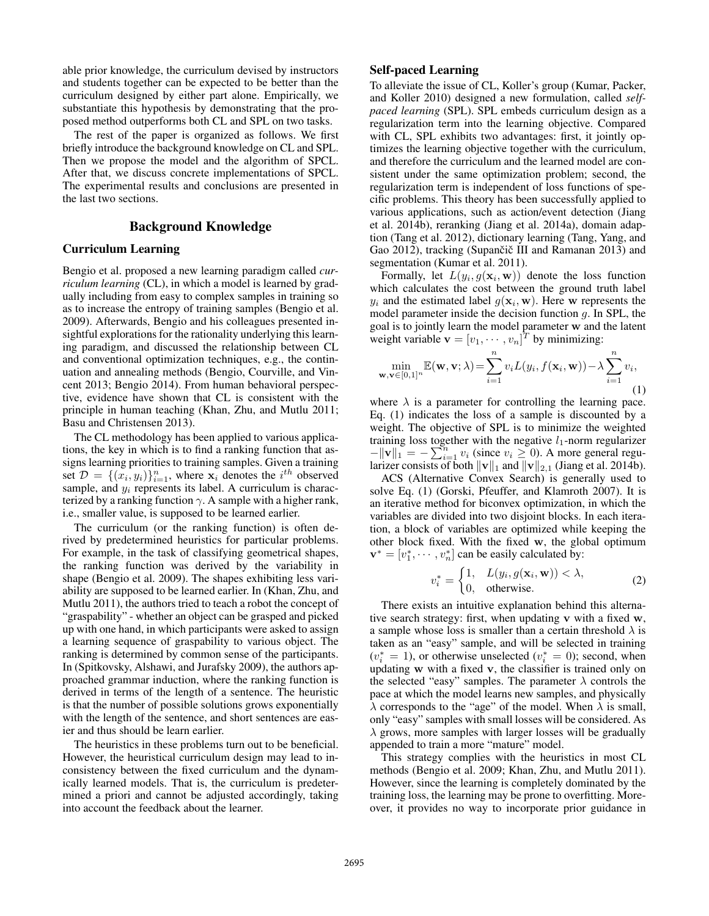able prior knowledge, the curriculum devised by instructors and students together can be expected to be better than the curriculum designed by either part alone. Empirically, we substantiate this hypothesis by demonstrating that the proposed method outperforms both CL and SPL on two tasks.

The rest of the paper is organized as follows. We first briefly introduce the background knowledge on CL and SPL. Then we propose the model and the algorithm of SPCL. After that, we discuss concrete implementations of SPCL. The experimental results and conclusions are presented in the last two sections.

## Background Knowledge

#### Curriculum Learning

Bengio et al. proposed a new learning paradigm called *curriculum learning* (CL), in which a model is learned by gradually including from easy to complex samples in training so as to increase the entropy of training samples (Bengio et al. 2009). Afterwards, Bengio and his colleagues presented insightful explorations for the rationality underlying this learning paradigm, and discussed the relationship between CL and conventional optimization techniques, e.g., the continuation and annealing methods (Bengio, Courville, and Vincent 2013; Bengio 2014). From human behavioral perspective, evidence have shown that CL is consistent with the principle in human teaching (Khan, Zhu, and Mutlu 2011; Basu and Christensen 2013).

The CL methodology has been applied to various applications, the key in which is to find a ranking function that assigns learning priorities to training samples. Given a training set  $\mathcal{D} = \{(x_i, y_i)\}_{i=1}^n$ , where  $\mathbf{x}_i$  denotes the  $i^{th}$  observed sample, and  $y_i$  represents its label. A curriculum is characterized by a ranking function  $\gamma$ . A sample with a higher rank, i.e., smaller value, is supposed to be learned earlier.

The curriculum (or the ranking function) is often derived by predetermined heuristics for particular problems. For example, in the task of classifying geometrical shapes, the ranking function was derived by the variability in shape (Bengio et al. 2009). The shapes exhibiting less variability are supposed to be learned earlier. In (Khan, Zhu, and Mutlu 2011), the authors tried to teach a robot the concept of "graspability" - whether an object can be grasped and picked up with one hand, in which participants were asked to assign a learning sequence of graspability to various object. The ranking is determined by common sense of the participants. In (Spitkovsky, Alshawi, and Jurafsky 2009), the authors approached grammar induction, where the ranking function is derived in terms of the length of a sentence. The heuristic is that the number of possible solutions grows exponentially with the length of the sentence, and short sentences are easier and thus should be learn earlier.

The heuristics in these problems turn out to be beneficial. However, the heuristical curriculum design may lead to inconsistency between the fixed curriculum and the dynamically learned models. That is, the curriculum is predetermined a priori and cannot be adjusted accordingly, taking into account the feedback about the learner.

## Self-paced Learning

To alleviate the issue of CL, Koller's group (Kumar, Packer, and Koller 2010) designed a new formulation, called *selfpaced learning* (SPL). SPL embeds curriculum design as a regularization term into the learning objective. Compared with CL, SPL exhibits two advantages: first, it jointly optimizes the learning objective together with the curriculum, and therefore the curriculum and the learned model are consistent under the same optimization problem; second, the regularization term is independent of loss functions of specific problems. This theory has been successfully applied to various applications, such as action/event detection (Jiang et al. 2014b), reranking (Jiang et al. 2014a), domain adaption (Tang et al. 2012), dictionary learning (Tang, Yang, and Gao 2012), tracking (Supančič III and Ramanan 2013) and segmentation (Kumar et al. 2011).

Formally, let  $L(y_i, g(\mathbf{x}_i, \mathbf{w}))$  denote the loss function which calculates the cost between the ground truth label  $y_i$  and the estimated label  $g(\mathbf{x}_i, \mathbf{w})$ . Here w represents the model parameter inside the decision function  $q$ . In SPL, the goal is to jointly learn the model parameter w and the latent weight variable  $\mathbf{v} = [v_1, \dots, v_n]^T$  by minimizing:

$$
\min_{\mathbf{w}, \mathbf{v} \in [0,1]^n} \mathbb{E}(\mathbf{w}, \mathbf{v}; \lambda) = \sum_{i=1}^n v_i L(y_i, f(\mathbf{x}_i, \mathbf{w})) - \lambda \sum_{i=1}^n v_i,
$$
\n(1)

where  $\lambda$  is a parameter for controlling the learning pace. Eq. (1) indicates the loss of a sample is discounted by a weight. The objective of SPL is to minimize the weighted training loss together with the negative  $l_1$ -norm regularizer  $-\|\mathbf{v}\|_1 = -\sum_{i=1}^n v_i$  (since  $v_i \geq 0$ ). A more general regularizer consists of both  $\|\mathbf{v}\|_1$  and  $\|\mathbf{v}\|_{2,1}$  (Jiang et al. 2014b).

ACS (Alternative Convex Search) is generally used to solve Eq. (1) (Gorski, Pfeuffer, and Klamroth 2007). It is an iterative method for biconvex optimization, in which the variables are divided into two disjoint blocks. In each iteration, a block of variables are optimized while keeping the other block fixed. With the fixed w, the global optimum  $\mathbf{v}^* = [v_1^*, \cdots, v_n^*]$  can be easily calculated by:

$$
v_i^* = \begin{cases} 1, & L(y_i, g(\mathbf{x}_i, \mathbf{w})) < \lambda, \\ 0, & \text{otherwise.} \end{cases}
$$
 (2)

There exists an intuitive explanation behind this alternative search strategy: first, when updating v with a fixed w, a sample whose loss is smaller than a certain threshold  $\lambda$  is taken as an "easy" sample, and will be selected in training  $(v_i^* = 1)$ , or otherwise unselected  $(v_i^* = 0)$ ; second, when updating w with a fixed v, the classifier is trained only on the selected "easy" samples. The parameter  $\lambda$  controls the pace at which the model learns new samples, and physically  $\overline{\lambda}$  corresponds to the "age" of the model. When  $\overline{\lambda}$  is small, only "easy" samples with small losses will be considered. As  $\lambda$  grows, more samples with larger losses will be gradually appended to train a more "mature" model.

This strategy complies with the heuristics in most CL methods (Bengio et al. 2009; Khan, Zhu, and Mutlu 2011). However, since the learning is completely dominated by the training loss, the learning may be prone to overfitting. Moreover, it provides no way to incorporate prior guidance in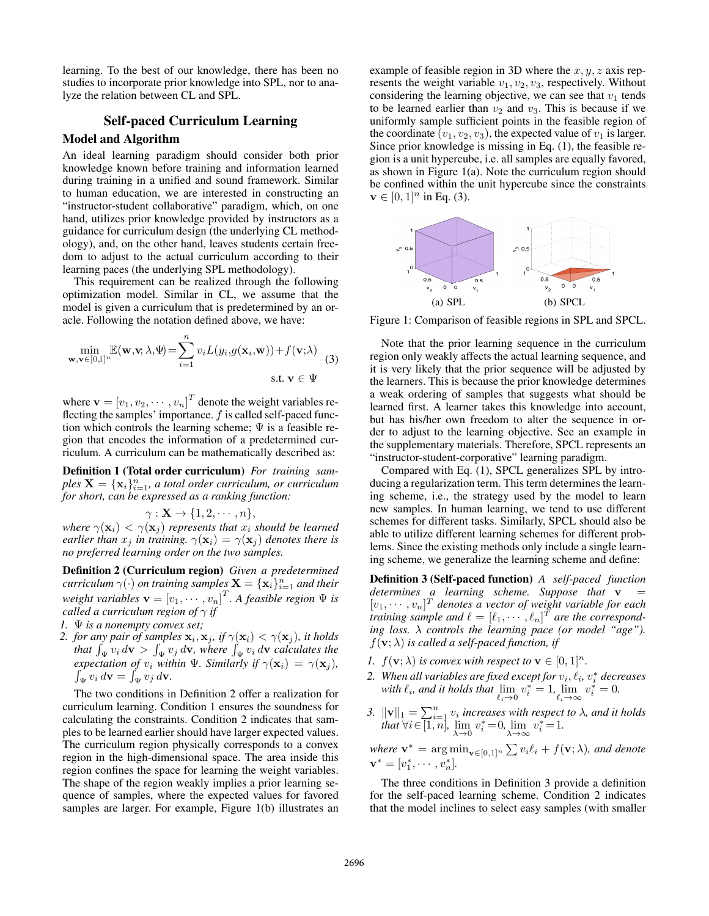learning. To the best of our knowledge, there has been no studies to incorporate prior knowledge into SPL, nor to analyze the relation between CL and SPL.

## Self-paced Curriculum Learning

## Model and Algorithm

An ideal learning paradigm should consider both prior knowledge known before training and information learned during training in a unified and sound framework. Similar to human education, we are interested in constructing an "instructor-student collaborative" paradigm, which, on one hand, utilizes prior knowledge provided by instructors as a guidance for curriculum design (the underlying CL methodology), and, on the other hand, leaves students certain freedom to adjust to the actual curriculum according to their learning paces (the underlying SPL methodology).

This requirement can be realized through the following optimization model. Similar in CL, we assume that the model is given a curriculum that is predetermined by an oracle. Following the notation defined above, we have:

$$
\min_{\mathbf{w},\mathbf{v}\in[0,1]^n} \mathbb{E}(\mathbf{w},\mathbf{v};\lambda,\Psi) = \sum_{i=1}^n v_i L(y_i,g(\mathbf{x}_i,\mathbf{w})) + f(\mathbf{v};\lambda)
$$
\n
$$
\text{s.t. } \mathbf{v} \in \Psi
$$
\n(3)

where  $\mathbf{v} = [v_1, v_2, \cdots, v_n]^T$  denote the weight variables reflecting the samples' importance.  $f$  is called self-paced function which controls the learning scheme;  $\Psi$  is a feasible region that encodes the information of a predetermined curriculum. A curriculum can be mathematically described as:

Definition 1 (Total order curriculum) *For training sam* $ples \mathbf{X} = {\mathbf{x}_i}_{i=1}^n$ , a total order curriculum, or curriculum *for short, can be expressed as a ranking function:*

$$
\gamma: \mathbf{X} \to \{1, 2, \cdots, n\},\
$$

*where*  $\gamma(\mathbf{x}_i) < \gamma(\mathbf{x}_j)$  *represents that*  $x_i$  *should be learned earlier than*  $x_j$  *in training.*  $\gamma(\mathbf{x}_i) = \gamma(\mathbf{x}_j)$  *denotes there is no preferred learning order on the two samples.*

Definition 2 (Curriculum region) *Given a predetermined*  $\alpha$ *curriculum*  $\gamma(\cdot)$  *on training samples*  $\mathbf{X} = \{\mathbf{x}_i\}_{i=1}^n$  *and their*  $weight$  variables  $\mathbf{v} = \left[v_1, \cdots, v_n\right]^T$ . A feasible region  $\Psi$  is *called a curriculum region of*  $\gamma$  *if* 

- *1.* Ψ *is a nonempty convex set;*
- 2. for any pair of samples  $\mathbf{x}_i$ ,  $\mathbf{x}_j$ , if  $\gamma(\mathbf{x}_i) < \gamma(\mathbf{x}_j)$ , it holds that  $\int_{\Psi} v_i d\mathbf{v} > \int_{\Psi} v_j d\mathbf{v}$ , where  $\int_{\Psi} v_i d\mathbf{v}$  calculates the *expectation of*  $v_i$  *within* Ψ*. Similarly if*  $\gamma(\mathbf{x}_i) = \gamma(\mathbf{x}_j)$ *,*  $\int_{\Psi} v_i d\mathbf{v} = \int_{\Psi} v_j d\mathbf{v}.$

The two conditions in Definition 2 offer a realization for curriculum learning. Condition 1 ensures the soundness for calculating the constraints. Condition 2 indicates that samples to be learned earlier should have larger expected values. The curriculum region physically corresponds to a convex region in the high-dimensional space. The area inside this region confines the space for learning the weight variables. The shape of the region weakly implies a prior learning sequence of samples, where the expected values for favored samples are larger. For example, Figure 1(b) illustrates an example of feasible region in 3D where the  $x, y, z$  axis represents the weight variable  $v_1, v_2, v_3$ , respectively. Without considering the learning objective, we can see that  $v_1$  tends to be learned earlier than  $v_2$  and  $v_3$ . This is because if we uniformly sample sufficient points in the feasible region of the coordinate  $(v_1, v_2, v_3)$ , the expected value of  $v_1$  is larger. Since prior knowledge is missing in Eq. (1), the feasible region is a unit hypercube, i.e. all samples are equally favored, as shown in Figure 1(a). Note the curriculum region should be confined within the unit hypercube since the constraints  $v \in [0, 1]^n$  in Eq. (3).



Figure 1: Comparison of feasible regions in SPL and SPCL.

Note that the prior learning sequence in the curriculum region only weakly affects the actual learning sequence, and it is very likely that the prior sequence will be adjusted by the learners. This is because the prior knowledge determines a weak ordering of samples that suggests what should be learned first. A learner takes this knowledge into account, but has his/her own freedom to alter the sequence in order to adjust to the learning objective. See an example in the supplementary materials. Therefore, SPCL represents an "instructor-student-corporative" learning paradigm.

Compared with Eq. (1), SPCL generalizes SPL by introducing a regularization term. This term determines the learning scheme, i.e., the strategy used by the model to learn new samples. In human learning, we tend to use different schemes for different tasks. Similarly, SPCL should also be able to utilize different learning schemes for different problems. Since the existing methods only include a single learning scheme, we generalize the learning scheme and define:

Definition 3 (Self-paced function) *A self-paced function determines a learning scheme. Suppose that*  $v =$  $[v_1, \dots, v_n]^T$  denotes a vector of weight variable for each *training sample and*  $\ell = [\ell_1, \cdots, \ell_n]^T$  *are the corresponding loss.* λ *controls the learning pace (or model "age").*  $f(\mathbf{v}; \lambda)$  *is called a self-paced function, if* 

- *1.*  $f(\mathbf{v}; \lambda)$  *is convex with respect to*  $\mathbf{v} \in [0, 1]^n$ *.*
- 2. When all variables are fixed except for  $v_i, \ell_i, v_i^*$  decreases with  $\ell_i$ , and it holds that  $\lim_{\ell_i \to 0} v_i^* = 1$ ,  $\lim_{\ell_i \to \infty} v_i^* = 0$ .
- 3.  $\|\mathbf{v}\|_1 = \sum_{i=1}^n v_i$  increases with respect to  $\lambda$ , and it holds *that*  $\forall i \in [1, n]$ ,  $\lim_{\lambda \to 0} v_i^* = 0$ ,  $\lim_{\lambda \to \infty} v_i^* = 1$ .

where 
$$
\mathbf{v}^* = \arg \min_{\mathbf{v} \in [0,1]^n} \sum v_i \ell_i + f(\mathbf{v}; \lambda)
$$
, and denote  $\mathbf{v}^* = [v_1^*, \cdots, v_n^*]$ .

The three conditions in Definition 3 provide a definition for the self-paced learning scheme. Condition 2 indicates that the model inclines to select easy samples (with smaller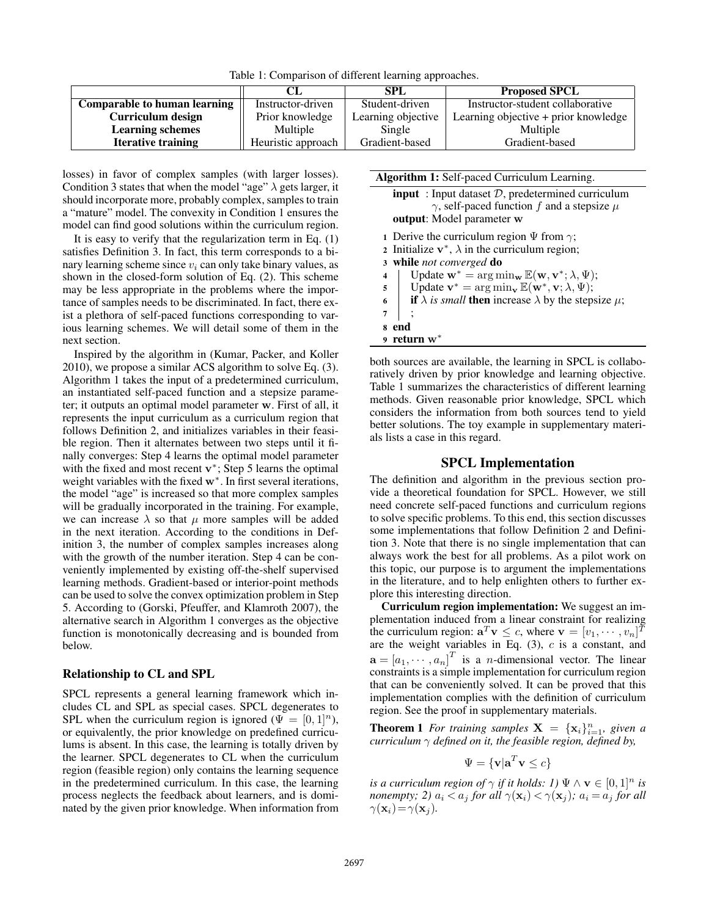Table 1: Comparison of different learning approaches.

|                                     |                    | SPL                | <b>Proposed SPCL</b>                         |  |
|-------------------------------------|--------------------|--------------------|----------------------------------------------|--|
| <b>Comparable to human learning</b> | Instructor-driven  | Student-driven     | Instructor-student collaborative             |  |
| Curriculum design                   | Prior knowledge    | Learning objective | Learning objective + prior knowledge $\vert$ |  |
| <b>Learning schemes</b>             | Multiple           | Single             | Multiple                                     |  |
| <b>Iterative training</b>           | Heuristic approach | Gradient-based     | Gradient-based                               |  |

losses) in favor of complex samples (with larger losses). Condition 3 states that when the model "age"  $\lambda$  gets larger, it should incorporate more, probably complex, samples to train a "mature" model. The convexity in Condition 1 ensures the model can find good solutions within the curriculum region.

It is easy to verify that the regularization term in Eq. (1) satisfies Definition 3. In fact, this term corresponds to a binary learning scheme since  $v_i$  can only take binary values, as shown in the closed-form solution of Eq. (2). This scheme may be less appropriate in the problems where the importance of samples needs to be discriminated. In fact, there exist a plethora of self-paced functions corresponding to various learning schemes. We will detail some of them in the next section.

Inspired by the algorithm in (Kumar, Packer, and Koller 2010), we propose a similar ACS algorithm to solve Eq. (3). Algorithm 1 takes the input of a predetermined curriculum, an instantiated self-paced function and a stepsize parameter; it outputs an optimal model parameter w. First of all, it represents the input curriculum as a curriculum region that follows Definition 2, and initializes variables in their feasible region. Then it alternates between two steps until it finally converges: Step 4 learns the optimal model parameter with the fixed and most recent  $v^*$ ; Step 5 learns the optimal weight variables with the fixed w<sup>\*</sup>. In first several iterations, the model "age" is increased so that more complex samples will be gradually incorporated in the training. For example, we can increase  $\lambda$  so that  $\mu$  more samples will be added in the next iteration. According to the conditions in Definition 3, the number of complex samples increases along with the growth of the number iteration. Step 4 can be conveniently implemented by existing off-the-shelf supervised learning methods. Gradient-based or interior-point methods can be used to solve the convex optimization problem in Step 5. According to (Gorski, Pfeuffer, and Klamroth 2007), the alternative search in Algorithm 1 converges as the objective function is monotonically decreasing and is bounded from below.

#### Relationship to CL and SPL

SPCL represents a general learning framework which includes CL and SPL as special cases. SPCL degenerates to SPL when the curriculum region is ignored ( $\Psi = [0, 1]^n$ ), or equivalently, the prior knowledge on predefined curriculums is absent. In this case, the learning is totally driven by the learner. SPCL degenerates to CL when the curriculum region (feasible region) only contains the learning sequence in the predetermined curriculum. In this case, the learning process neglects the feedback about learners, and is dominated by the given prior knowledge. When information from

| Algorithm 1: Self-paced Curriculum Learning.                                                                                   |  |  |  |  |  |
|--------------------------------------------------------------------------------------------------------------------------------|--|--|--|--|--|
| <b>input</b> : Input dataset $D$ , predetermined curriculum                                                                    |  |  |  |  |  |
| $\gamma$ , self-paced function f and a stepsize $\mu$                                                                          |  |  |  |  |  |
| <b>output:</b> Model parameter w                                                                                               |  |  |  |  |  |
| 1 Derive the curriculum region $\Psi$ from $\gamma$ ;                                                                          |  |  |  |  |  |
| 2 Initialize $v^*$ , $\lambda$ in the curriculum region;                                                                       |  |  |  |  |  |
| 3 while not converged do                                                                                                       |  |  |  |  |  |
| Update $\mathbf{w}^* = \arg \min_{\mathbf{w}} \mathbb{E}(\mathbf{w}, \mathbf{v}^*; \lambda, \Psi);$<br>$\overline{\mathbf{4}}$ |  |  |  |  |  |
| Update $\mathbf{v}^* = \arg \min_{\mathbf{v}} \mathbb{E}(\mathbf{w}^*, \mathbf{v}; \lambda, \Psi);$<br>5                       |  |  |  |  |  |
| <b>if</b> $\lambda$ <i>is small</i> then increase $\lambda$ by the stepsize $\mu$ ;<br>6                                       |  |  |  |  |  |
| 7                                                                                                                              |  |  |  |  |  |
| end<br>8                                                                                                                       |  |  |  |  |  |
| return $w^*$                                                                                                                   |  |  |  |  |  |

both sources are available, the learning in SPCL is collaboratively driven by prior knowledge and learning objective. Table 1 summarizes the characteristics of different learning methods. Given reasonable prior knowledge, SPCL which considers the information from both sources tend to yield better solutions. The toy example in supplementary materials lists a case in this regard.

#### SPCL Implementation

The definition and algorithm in the previous section provide a theoretical foundation for SPCL. However, we still need concrete self-paced functions and curriculum regions to solve specific problems. To this end, this section discusses some implementations that follow Definition 2 and Definition 3. Note that there is no single implementation that can always work the best for all problems. As a pilot work on this topic, our purpose is to argument the implementations in the literature, and to help enlighten others to further explore this interesting direction.

Curriculum region implementation: We suggest an implementation induced from a linear constraint for realizing the curriculum region:  $\mathbf{a}^T \mathbf{v} \leq c$ , where  $\mathbf{v} = [v_1, \dots, v_n]^T$ are the weight variables in Eq.  $(3)$ ,  $c$  is a constant, and  $\mathbf{a} = [a_1, \dots, a_n]^T$  is a *n*-dimensional vector. The linear constraints is a simple implementation for curriculum region that can be conveniently solved. It can be proved that this implementation complies with the definition of curriculum region. See the proof in supplementary materials.

**Theorem 1** For training samples  $X = {\mathbf{x}_i}_{i=1}^n$ , given a *curriculum*  $\gamma$  *defined on it, the feasible region, defined by,* 

$$
\Psi = \{ \mathbf{v} | \mathbf{a}^T \mathbf{v} \le c \}
$$

*is a curriculum region of*  $\gamma$  *if it holds: 1*)  $\Psi \wedge \mathbf{v} \in [0,1]^n$  *is nonempty;* 2)  $a_i < a_j$  *for all*  $\gamma(\mathbf{x}_i) < \gamma(\mathbf{x}_j)$ *;*  $a_i = a_j$  *for all*  $\gamma(\mathbf{x}_i) = \gamma(\mathbf{x}_i)$ *.*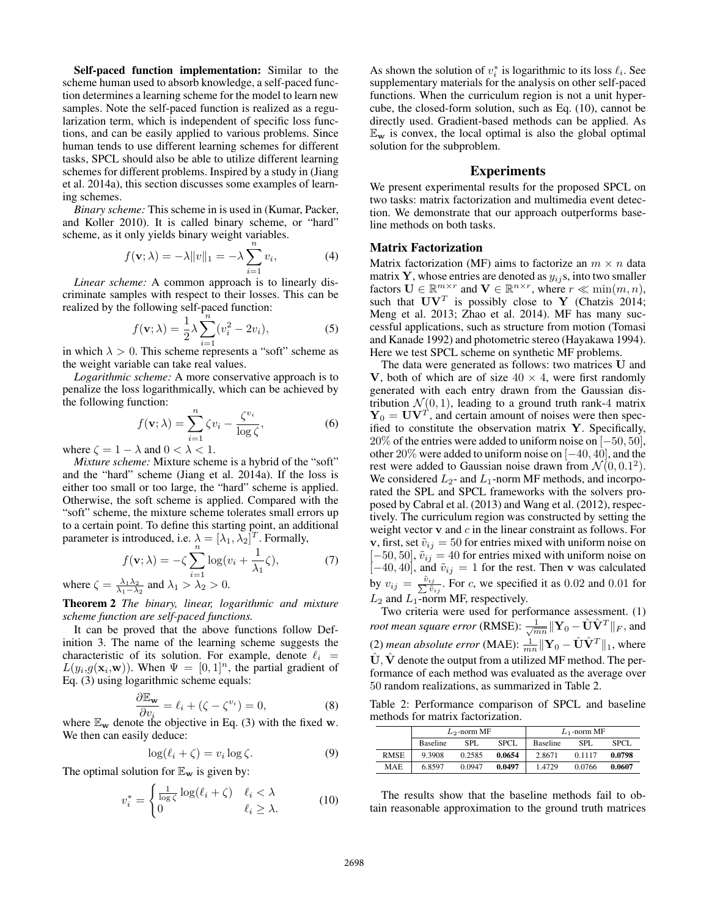Self-paced function implementation: Similar to the scheme human used to absorb knowledge, a self-paced function determines a learning scheme for the model to learn new samples. Note the self-paced function is realized as a regularization term, which is independent of specific loss functions, and can be easily applied to various problems. Since human tends to use different learning schemes for different tasks, SPCL should also be able to utilize different learning schemes for different problems. Inspired by a study in (Jiang et al. 2014a), this section discusses some examples of learning schemes.

*Binary scheme:* This scheme in is used in (Kumar, Packer, and Koller 2010). It is called binary scheme, or "hard" scheme, as it only yields binary weight variables.

$$
f(\mathbf{v}; \lambda) = -\lambda ||v||_1 = -\lambda \sum_{i=1}^n v_i,
$$
 (4)

*Linear scheme:* A common approach is to linearly discriminate samples with respect to their losses. This can be realized by the following self-paced function:

$$
f(\mathbf{v}; \lambda) = \frac{1}{2} \lambda \sum_{i=1}^{n} (v_i^2 - 2v_i),
$$
 (5)

in which  $\lambda > 0$ . This scheme represents a "soft" scheme as the weight variable can take real values.

*Logarithmic scheme:* A more conservative approach is to penalize the loss logarithmically, which can be achieved by the following function:

$$
f(\mathbf{v}; \lambda) = \sum_{i=1}^{n} \zeta v_i - \frac{\zeta^{v_i}}{\log \zeta},
$$
 (6)

where  $\zeta = 1 - \lambda$  and  $0 < \lambda < 1$ .

*Mixture scheme:* Mixture scheme is a hybrid of the "soft" and the "hard" scheme (Jiang et al. 2014a). If the loss is either too small or too large, the "hard" scheme is applied. Otherwise, the soft scheme is applied. Compared with the "soft" scheme, the mixture scheme tolerates small errors up to a certain point. To define this starting point, an additional parameter is introduced, i.e.  $\lambda = [\lambda_1, \lambda_2]^T$ . Formally,

$$
f(\mathbf{v}; \lambda) = -\zeta \sum_{i=1}^{n} \log(v_i + \frac{1}{\lambda_1} \zeta), \tag{7}
$$

where  $\zeta = \frac{\lambda_1 \lambda_2}{\lambda_1 - \lambda_2}$  and  $\lambda_1 > \lambda_2 > 0$ .

Theorem 2 *The binary, linear, logarithmic and mixture scheme function are self-paced functions.*

It can be proved that the above functions follow Definition 3. The name of the learning scheme suggests the characteristic of its solution. For example, denote  $\ell_i$  =  $L(y_i, g(\mathbf{x}_i, \mathbf{w}))$ . When  $\Psi = [0, 1]^n$ , the partial gradient of Eq. (3) using logarithmic scheme equals:

$$
\frac{\partial \mathbb{E}_{\mathbf{w}}}{\partial v_i} = \ell_i + (\zeta - \zeta^{v_i}) = 0,
$$
\n(8)

 $\frac{\partial v_i}{\partial x}$  where  $\mathbb{E}_w$  denote the objective in Eq. (3) with the fixed w. We then can easily deduce:

$$
\log(\ell_i + \zeta) = v_i \log \zeta. \tag{9}
$$

The optimal solution for  $\mathbb{E}_{\mathbf{w}}$  is given by:

$$
v_i^* = \begin{cases} \frac{1}{\log \zeta} \log(\ell_i + \zeta) & \ell_i < \lambda \\ 0 & \ell_i \ge \lambda. \end{cases}
$$
 (10)

As shown the solution of  $v_i^*$  is logarithmic to its loss  $\ell_i$ . See supplementary materials for the analysis on other self-paced functions. When the curriculum region is not a unit hypercube, the closed-form solution, such as Eq. (10), cannot be directly used. Gradient-based methods can be applied. As  $\mathbb{E}_{\mathbf{w}}$  is convex, the local optimal is also the global optimal solution for the subproblem.

#### Experiments

We present experimental results for the proposed SPCL on two tasks: matrix factorization and multimedia event detection. We demonstrate that our approach outperforms baseline methods on both tasks.

#### Matrix Factorization

Matrix factorization (MF) aims to factorize an  $m \times n$  data matrix Y, whose entries are denoted as  $y_{ij}$ s, into two smaller factors  $\mathbf{U} \in \mathbb{R}^{m \times r}$  and  $\mathbf{V} \in \mathbb{R}^{n \times r}$ , where  $r \ll \min(m, n)$ , such that  $UV^T$  is possibly close to Y (Chatzis 2014; Meng et al. 2013; Zhao et al. 2014). MF has many successful applications, such as structure from motion (Tomasi and Kanade 1992) and photometric stereo (Hayakawa 1994). Here we test SPCL scheme on synthetic MF problems.

The data were generated as follows: two matrices U and V, both of which are of size  $40 \times 4$ , were first randomly generated with each entry drawn from the Gaussian distribution  $\mathcal{N}(0, 1)$ , leading to a ground truth rank-4 matrix  $Y_0 = UV^T$ , and certain amount of noises were then specified to constitute the observation matrix Y. Specifically,  $20\%$  of the entries were added to uniform noise on  $[-50, 50]$ , other 20% were added to uniform noise on [−40, 40], and the rest were added to Gaussian noise drawn from  $\mathcal{N}(0, 0.1^2)$ . We considered  $L_2$ - and  $L_1$ -norm MF methods, and incorporated the SPL and SPCL frameworks with the solvers proposed by Cabral et al. (2013) and Wang et al. (2012), respectively. The curriculum region was constructed by setting the weight vector  $v$  and  $c$  in the linear constraint as follows. For v, first, set  $\tilde{v}_{ij} = 50$  for entries mixed with uniform noise on  $[-50, 50]$ ,  $\tilde{v}_{ij} = 40$  for entries mixed with uniform noise on  $[-40, 40]$ , and  $\tilde{v}_{ij} = 1$  for the rest. Then v was calculated by  $v_{ij} = \frac{\tilde{v}_{ij}}{\sum \tilde{v}_{ij}}$ . For c, we specified it as 0.02 and 0.01 for  $L_2$  and  $L_1$ -norm MF, respectively.

Two criteria were used for performance assessment. (1) *root mean square error (*RMSE):  $\frac{1}{\sqrt{mn}}\|\mathbf{Y}_0 - \hat{\mathbf{U}}\hat{\mathbf{V}}^T\|_F,$  and (2) *mean absolute error* (MAE):  $\frac{1}{mn} \|\mathbf{Y}_0 - \hat{\mathbf{U}}\hat{\mathbf{V}}^T\|_1$ , where  $\hat{\mathbf{U}}, \hat{\mathbf{V}}$  denote the output from a utilized MF method. The performance of each method was evaluated as the average over 50 random realizations, as summarized in Table 2.

Table 2: Performance comparison of SPCL and baseline methods for matrix factorization.

|             | $L_2$ -norm MF  |        |        | $L_1$ -norm MF  |        |        |
|-------------|-----------------|--------|--------|-----------------|--------|--------|
|             | <b>Baseline</b> | SPL.   | SPCL.  | <b>Baseline</b> | SPL.   | SPCL.  |
| <b>RMSE</b> | 9.3908          | 0.2585 | 0.0654 | 2.8671          | 0.1117 | 0.0798 |
| <b>MAE</b>  | 6.8597          | 0.0947 | 0.0497 | 1.4729          | 0.0766 | 0.0607 |

The results show that the baseline methods fail to obtain reasonable approximation to the ground truth matrices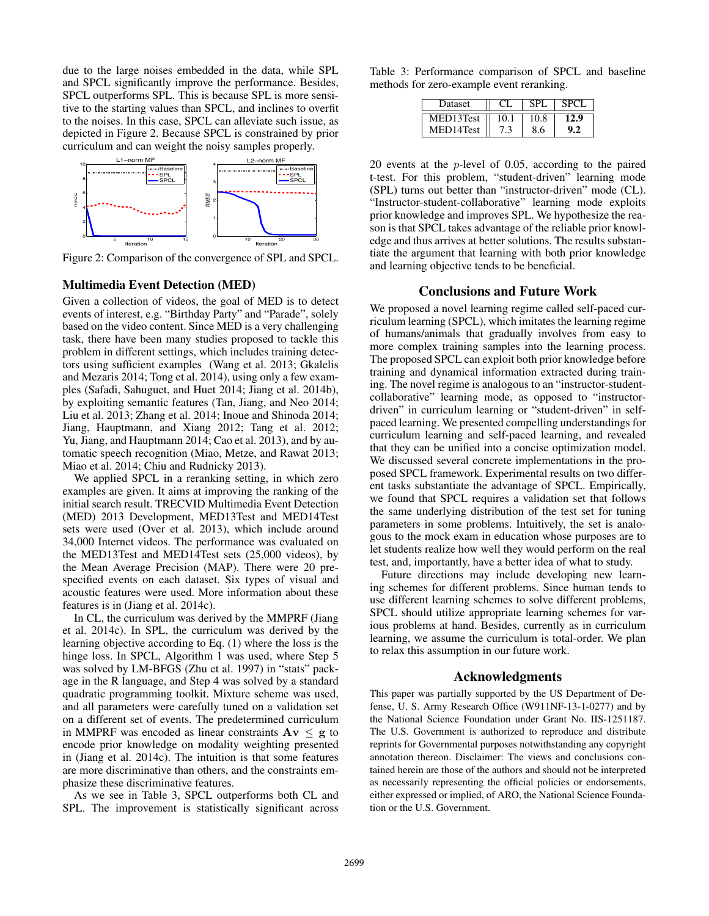due to the large noises embedded in the data, while SPL and SPCL significantly improve the performance. Besides, SPCL outperforms SPL. This is because SPL is more sensitive to the starting values than SPCL, and inclines to overfit to the noises. In this case, SPCL can alleviate such issue, as depicted in Figure 2. Because SPCL is constrained by prior curriculum and can weight the noisy samples properly.



Figure 2: Comparison of the convergence of SPL and SPCL.

#### Multimedia Event Detection (MED)

Given a collection of videos, the goal of MED is to detect events of interest, e.g. "Birthday Party" and "Parade", solely based on the video content. Since MED is a very challenging task, there have been many studies proposed to tackle this problem in different settings, which includes training detectors using sufficient examples (Wang et al. 2013; Gkalelis and Mezaris 2014; Tong et al. 2014), using only a few examples (Safadi, Sahuguet, and Huet 2014; Jiang et al. 2014b), by exploiting semantic features (Tan, Jiang, and Neo 2014; Liu et al. 2013; Zhang et al. 2014; Inoue and Shinoda 2014; Jiang, Hauptmann, and Xiang 2012; Tang et al. 2012; Yu, Jiang, and Hauptmann 2014; Cao et al. 2013), and by automatic speech recognition (Miao, Metze, and Rawat 2013; Miao et al. 2014; Chiu and Rudnicky 2013).

We applied SPCL in a reranking setting, in which zero examples are given. It aims at improving the ranking of the initial search result. TRECVID Multimedia Event Detection (MED) 2013 Development, MED13Test and MED14Test sets were used (Over et al. 2013), which include around 34,000 Internet videos. The performance was evaluated on the MED13Test and MED14Test sets (25,000 videos), by the Mean Average Precision (MAP). There were 20 prespecified events on each dataset. Six types of visual and acoustic features were used. More information about these features is in (Jiang et al. 2014c).

In CL, the curriculum was derived by the MMPRF (Jiang et al. 2014c). In SPL, the curriculum was derived by the learning objective according to Eq. (1) where the loss is the hinge loss. In SPCL, Algorithm 1 was used, where Step 5 was solved by LM-BFGS (Zhu et al. 1997) in "stats" package in the R language, and Step 4 was solved by a standard quadratic programming toolkit. Mixture scheme was used, and all parameters were carefully tuned on a validation set on a different set of events. The predetermined curriculum in MMPRF was encoded as linear constraints  $Av \leq g$  to encode prior knowledge on modality weighting presented in (Jiang et al. 2014c). The intuition is that some features are more discriminative than others, and the constraints emphasize these discriminative features.

As we see in Table 3, SPCL outperforms both CL and SPL. The improvement is statistically significant across

Table 3: Performance comparison of SPCL and baseline methods for zero-example event reranking.

| Dataset   | SPI   |  |
|-----------|-------|--|
| MED13Test | 10.8  |  |
| MED14Test | o.6 - |  |

20 events at the p-level of 0.05, according to the paired t-test. For this problem, "student-driven" learning mode (SPL) turns out better than "instructor-driven" mode (CL). "Instructor-student-collaborative" learning mode exploits prior knowledge and improves SPL. We hypothesize the reason is that SPCL takes advantage of the reliable prior knowledge and thus arrives at better solutions. The results substantiate the argument that learning with both prior knowledge and learning objective tends to be beneficial.

#### Conclusions and Future Work

We proposed a novel learning regime called self-paced curriculum learning (SPCL), which imitates the learning regime of humans/animals that gradually involves from easy to more complex training samples into the learning process. The proposed SPCL can exploit both prior knowledge before training and dynamical information extracted during training. The novel regime is analogous to an "instructor-studentcollaborative" learning mode, as opposed to "instructordriven" in curriculum learning or "student-driven" in selfpaced learning. We presented compelling understandings for curriculum learning and self-paced learning, and revealed that they can be unified into a concise optimization model. We discussed several concrete implementations in the proposed SPCL framework. Experimental results on two different tasks substantiate the advantage of SPCL. Empirically, we found that SPCL requires a validation set that follows the same underlying distribution of the test set for tuning parameters in some problems. Intuitively, the set is analogous to the mock exam in education whose purposes are to let students realize how well they would perform on the real test, and, importantly, have a better idea of what to study.

Future directions may include developing new learning schemes for different problems. Since human tends to use different learning schemes to solve different problems, SPCL should utilize appropriate learning schemes for various problems at hand. Besides, currently as in curriculum learning, we assume the curriculum is total-order. We plan to relax this assumption in our future work.

#### Acknowledgments

This paper was partially supported by the US Department of Defense, U. S. Army Research Office (W911NF-13-1-0277) and by the National Science Foundation under Grant No. IIS-1251187. The U.S. Government is authorized to reproduce and distribute reprints for Governmental purposes notwithstanding any copyright annotation thereon. Disclaimer: The views and conclusions contained herein are those of the authors and should not be interpreted as necessarily representing the official policies or endorsements, either expressed or implied, of ARO, the National Science Foundation or the U.S. Government.